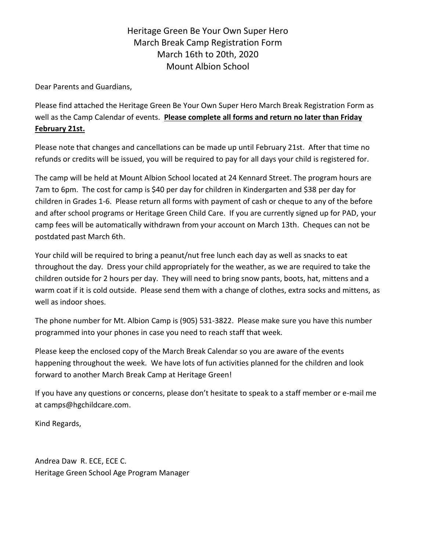## Heritage Green Be Your Own Super Hero March Break Camp Registration Form March 16th to 20th, 2020 Mount Albion School

Dear Parents and Guardians,

Please find attached the Heritage Green Be Your Own Super Hero March Break Registration Form as well as the Camp Calendar of events. **Please complete all forms and return no later than Friday February 21st.**

Please note that changes and cancellations can be made up until February 21st. After that time no refunds or credits will be issued, you will be required to pay for all days your child is registered for.

The camp will be held at Mount Albion School located at 24 Kennard Street. The program hours are 7am to 6pm. The cost for camp is \$40 per day for children in Kindergarten and \$38 per day for children in Grades 1-6. Please return all forms with payment of cash or cheque to any of the before and after school programs or Heritage Green Child Care. If you are currently signed up for PAD, your camp fees will be automatically withdrawn from your account on March 13th. Cheques can not be postdated past March 6th.

Your child will be required to bring a peanut/nut free lunch each day as well as snacks to eat throughout the day. Dress your child appropriately for the weather, as we are required to take the children outside for 2 hours per day. They will need to bring snow pants, boots, hat, mittens and a warm coat if it is cold outside. Please send them with a change of clothes, extra socks and mittens, as well as indoor shoes.

The phone number for Mt. Albion Camp is (905) 531-3822. Please make sure you have this number programmed into your phones in case you need to reach staff that week.

Please keep the enclosed copy of the March Break Calendar so you are aware of the events happening throughout the week. We have lots of fun activities planned for the children and look forward to another March Break Camp at Heritage Green!

If you have any questions or concerns, please don't hesitate to speak to a staff member or e-mail me at [camps@hgchildcare.com.](mailto:camps@hgchildcare.com)

Kind Regards,

Andrea Daw R. ECE, ECE C. Heritage Green School Age Program Manager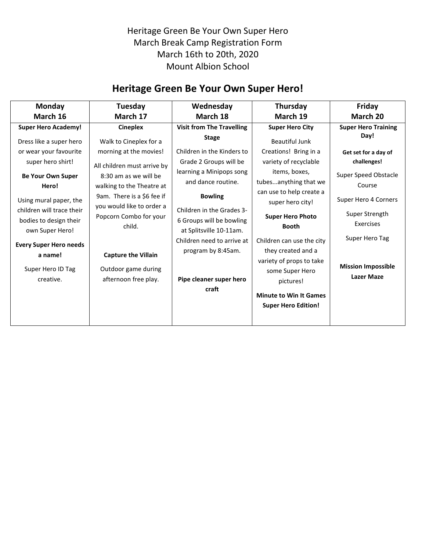Heritage Green Be Your Own Super Hero March Break Camp Registration Form March 16th to 20th, 2020 Mount Albion School

## **Heritage Green Be Your Own Super Hero!**

| <b>Monday</b>                                                          | Tuesday                                                       | Wednesday                                                                        | Thursday                                                    | Friday                                         |
|------------------------------------------------------------------------|---------------------------------------------------------------|----------------------------------------------------------------------------------|-------------------------------------------------------------|------------------------------------------------|
| March 16                                                               | March 17                                                      | March 18                                                                         | March 19                                                    | March 20                                       |
| <b>Super Hero Academy!</b>                                             | <b>Cineplex</b>                                               | <b>Visit from The Travelling</b>                                                 | <b>Super Hero City</b>                                      | <b>Super Hero Training</b>                     |
| Dress like a super hero                                                | Walk to Cineplex for a                                        | <b>Stage</b>                                                                     | <b>Beautiful Junk</b>                                       | Day!                                           |
| or wear your favourite                                                 | morning at the movies!                                        | Children in the Kinders to                                                       | Creations! Bring in a                                       | Get set for a day of                           |
| super hero shirt!                                                      | All children must arrive by                                   | Grade 2 Groups will be                                                           | variety of recyclable                                       | challenges!                                    |
| <b>Be Your Own Super</b><br>Hero!                                      | 8:30 am as we will be<br>walking to the Theatre at            | learning a Minipops song<br>and dance routine.                                   | items, boxes,<br>tubesanything that we                      | Super Speed Obstacle<br>Course                 |
| Using mural paper, the                                                 | 9am. There is a \$6 fee if                                    | <b>Bowling</b>                                                                   | can use to help create a<br>super hero city!                | Super Hero 4 Corners                           |
| children will trace their<br>bodies to design their<br>own Super Hero! | you would like to order a<br>Popcorn Combo for your<br>child. | Children in the Grades 3-<br>6 Groups will be bowling<br>at Splitsville 10-11am. | <b>Super Hero Photo</b><br><b>Booth</b>                     | Super Strength<br><b>Exercises</b>             |
| <b>Every Super Hero needs</b><br>a name!                               | <b>Capture the Villain</b>                                    | Children need to arrive at<br>program by 8:45am.                                 | Children can use the city<br>they created and a             | Super Hero Tag                                 |
| Super Hero ID Tag<br>creative.                                         | Outdoor game during<br>afternoon free play.                   | Pipe cleaner super hero                                                          | variety of props to take<br>some Super Hero<br>pictures!    | <b>Mission Impossible</b><br><b>Lazer Maze</b> |
|                                                                        |                                                               | craft                                                                            | <b>Minute to Win It Games</b><br><b>Super Hero Edition!</b> |                                                |